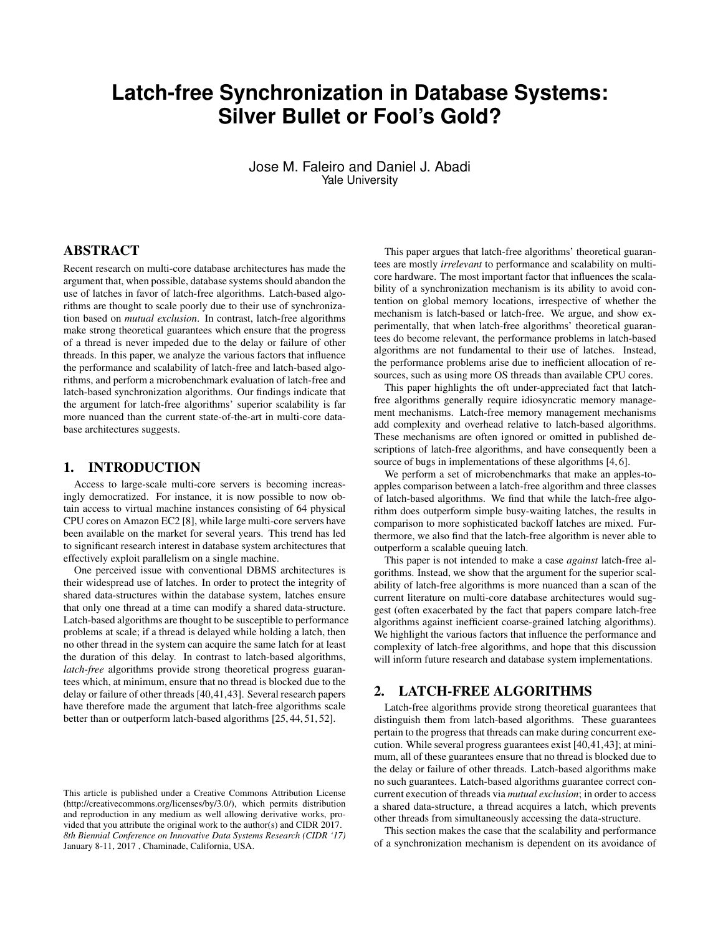# **Latch-free Synchronization in Database Systems: Silver Bullet or Fool's Gold?**

Jose M. Faleiro and Daniel J. Abadi Yale University

# ABSTRACT

Recent research on multi-core database architectures has made the argument that, when possible, database systems should abandon the use of latches in favor of latch-free algorithms. Latch-based algorithms are thought to scale poorly due to their use of synchronization based on *mutual exclusion*. In contrast, latch-free algorithms make strong theoretical guarantees which ensure that the progress of a thread is never impeded due to the delay or failure of other threads. In this paper, we analyze the various factors that influence the performance and scalability of latch-free and latch-based algorithms, and perform a microbenchmark evaluation of latch-free and latch-based synchronization algorithms. Our findings indicate that the argument for latch-free algorithms' superior scalability is far more nuanced than the current state-of-the-art in multi-core database architectures suggests.

# 1. INTRODUCTION

Access to large-scale multi-core servers is becoming increasingly democratized. For instance, it is now possible to now obtain access to virtual machine instances consisting of 64 physical CPU cores on Amazon EC2 [\[8\]](#page-10-0), while large multi-core servers have been available on the market for several years. This trend has led to significant research interest in database system architectures that effectively exploit parallelism on a single machine.

One perceived issue with conventional DBMS architectures is their widespread use of latches. In order to protect the integrity of shared data-structures within the database system, latches ensure that only one thread at a time can modify a shared data-structure. Latch-based algorithms are thought to be susceptible to performance problems at scale; if a thread is delayed while holding a latch, then no other thread in the system can acquire the same latch for at least the duration of this delay. In contrast to latch-based algorithms, *latch-free* algorithms provide strong theoretical progress guarantees which, at minimum, ensure that no thread is blocked due to the delay or failure of other threads [\[40](#page-11-0)[,41,](#page-11-1)[43\]](#page-11-2). Several research papers have therefore made the argument that latch-free algorithms scale better than or outperform latch-based algorithms [\[25,](#page-11-3) [44,](#page-11-4) [51,](#page-11-5) [52\]](#page-11-6).

This paper argues that latch-free algorithms' theoretical guarantees are mostly *irrelevant* to performance and scalability on multicore hardware. The most important factor that influences the scalability of a synchronization mechanism is its ability to avoid contention on global memory locations, irrespective of whether the mechanism is latch-based or latch-free. We argue, and show experimentally, that when latch-free algorithms' theoretical guarantees do become relevant, the performance problems in latch-based algorithms are not fundamental to their use of latches. Instead, the performance problems arise due to inefficient allocation of resources, such as using more OS threads than available CPU cores.

This paper highlights the oft under-appreciated fact that latchfree algorithms generally require idiosyncratic memory management mechanisms. Latch-free memory management mechanisms add complexity and overhead relative to latch-based algorithms. These mechanisms are often ignored or omitted in published descriptions of latch-free algorithms, and have consequently been a source of bugs in implementations of these algorithms [\[4,](#page-10-1) [6\]](#page-10-2).

We perform a set of microbenchmarks that make an apples-toapples comparison between a latch-free algorithm and three classes of latch-based algorithms. We find that while the latch-free algorithm does outperform simple busy-waiting latches, the results in comparison to more sophisticated backoff latches are mixed. Furthermore, we also find that the latch-free algorithm is never able to outperform a scalable queuing latch.

This paper is not intended to make a case *against* latch-free algorithms. Instead, we show that the argument for the superior scalability of latch-free algorithms is more nuanced than a scan of the current literature on multi-core database architectures would suggest (often exacerbated by the fact that papers compare latch-free algorithms against inefficient coarse-grained latching algorithms). We highlight the various factors that influence the performance and complexity of latch-free algorithms, and hope that this discussion will inform future research and database system implementations.

# <span id="page-0-0"></span>2. LATCH-FREE ALGORITHMS

Latch-free algorithms provide strong theoretical guarantees that distinguish them from latch-based algorithms. These guarantees pertain to the progress that threads can make during concurrent execution. While several progress guarantees exist [\[40,](#page-11-0)[41,](#page-11-1)[43\]](#page-11-2); at minimum, all of these guarantees ensure that no thread is blocked due to the delay or failure of other threads. Latch-based algorithms make no such guarantees. Latch-based algorithms guarantee correct concurrent execution of threads via *mutual exclusion*; in order to access a shared data-structure, a thread acquires a latch, which prevents other threads from simultaneously accessing the data-structure.

This section makes the case that the scalability and performance of a synchronization mechanism is dependent on its avoidance of

This article is published under a Creative Commons Attribution License (http://creativecommons.org/licenses/by/3.0/), which permits distribution and reproduction in any medium as well allowing derivative works, provided that you attribute the original work to the author(s) and CIDR 2017. *8th Biennial Conference on Innovative Data Systems Research (CIDR '17)* January 8-11, 2017 , Chaminade, California, USA.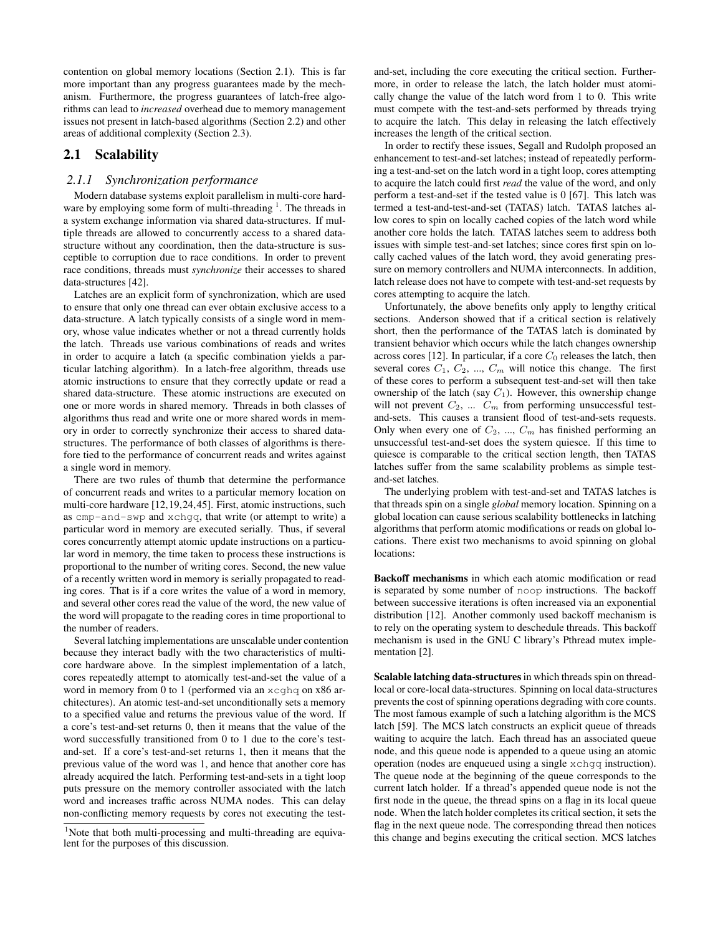contention on global memory locations (Section [2.1\)](#page-1-0). This is far more important than any progress guarantees made by the mechanism. Furthermore, the progress guarantees of latch-free algorithms can lead to *increased* overhead due to memory management issues not present in latch-based algorithms (Section [2.2\)](#page-3-0) and other areas of additional complexity (Section [2.3\)](#page-3-1).

# <span id="page-1-2"></span><span id="page-1-0"></span>2.1 Scalability

### *2.1.1 Synchronization performance*

Modern database systems exploit parallelism in multi-core hard-ware by employing some form of multi-threading <sup>[1](#page-1-1)</sup>. The threads in a system exchange information via shared data-structures. If multiple threads are allowed to concurrently access to a shared datastructure without any coordination, then the data-structure is susceptible to corruption due to race conditions. In order to prevent race conditions, threads must *synchronize* their accesses to shared data-structures [\[42\]](#page-11-7).

Latches are an explicit form of synchronization, which are used to ensure that only one thread can ever obtain exclusive access to a data-structure. A latch typically consists of a single word in memory, whose value indicates whether or not a thread currently holds the latch. Threads use various combinations of reads and writes in order to acquire a latch (a specific combination yields a particular latching algorithm). In a latch-free algorithm, threads use atomic instructions to ensure that they correctly update or read a shared data-structure. These atomic instructions are executed on one or more words in shared memory. Threads in both classes of algorithms thus read and write one or more shared words in memory in order to correctly synchronize their access to shared datastructures. The performance of both classes of algorithms is therefore tied to the performance of concurrent reads and writes against a single word in memory.

There are two rules of thumb that determine the performance of concurrent reads and writes to a particular memory location on multi-core hardware [\[12,](#page-10-3)[19,](#page-10-4)[24,](#page-11-8)[45\]](#page-11-9). First, atomic instructions, such as cmp-and-swp and xchgq, that write (or attempt to write) a particular word in memory are executed serially. Thus, if several cores concurrently attempt atomic update instructions on a particular word in memory, the time taken to process these instructions is proportional to the number of writing cores. Second, the new value of a recently written word in memory is serially propagated to reading cores. That is if a core writes the value of a word in memory, and several other cores read the value of the word, the new value of the word will propagate to the reading cores in time proportional to the number of readers.

Several latching implementations are unscalable under contention because they interact badly with the two characteristics of multicore hardware above. In the simplest implementation of a latch, cores repeatedly attempt to atomically test-and-set the value of a word in memory from 0 to 1 (performed via an xcghq on x86 architectures). An atomic test-and-set unconditionally sets a memory to a specified value and returns the previous value of the word. If a core's test-and-set returns 0, then it means that the value of the word successfully transitioned from 0 to 1 due to the core's testand-set. If a core's test-and-set returns 1, then it means that the previous value of the word was 1, and hence that another core has already acquired the latch. Performing test-and-sets in a tight loop puts pressure on the memory controller associated with the latch word and increases traffic across NUMA nodes. This can delay non-conflicting memory requests by cores not executing the testand-set, including the core executing the critical section. Furthermore, in order to release the latch, the latch holder must atomically change the value of the latch word from 1 to 0. This write must compete with the test-and-sets performed by threads trying to acquire the latch. This delay in releasing the latch effectively increases the length of the critical section.

In order to rectify these issues, Segall and Rudolph proposed an enhancement to test-and-set latches; instead of repeatedly performing a test-and-set on the latch word in a tight loop, cores attempting to acquire the latch could first *read* the value of the word, and only perform a test-and-set if the tested value is 0 [\[67\]](#page-11-10). This latch was termed a test-and-test-and-set (TATAS) latch. TATAS latches allow cores to spin on locally cached copies of the latch word while another core holds the latch. TATAS latches seem to address both issues with simple test-and-set latches; since cores first spin on locally cached values of the latch word, they avoid generating pressure on memory controllers and NUMA interconnects. In addition, latch release does not have to compete with test-and-set requests by cores attempting to acquire the latch.

Unfortunately, the above benefits only apply to lengthy critical sections. Anderson showed that if a critical section is relatively short, then the performance of the TATAS latch is dominated by transient behavior which occurs while the latch changes ownership across cores [\[12\]](#page-10-3). In particular, if a core  $C_0$  releases the latch, then several cores  $C_1$ ,  $C_2$ , ...,  $C_m$  will notice this change. The first of these cores to perform a subsequent test-and-set will then take ownership of the latch (say  $C_1$ ). However, this ownership change will not prevent  $C_2$ , ...  $C_m$  from performing unsuccessful testand-sets. This causes a transient flood of test-and-sets requests. Only when every one of  $C_2$ , ...,  $C_m$  has finished performing an unsuccessful test-and-set does the system quiesce. If this time to quiesce is comparable to the critical section length, then TATAS latches suffer from the same scalability problems as simple testand-set latches.

The underlying problem with test-and-set and TATAS latches is that threads spin on a single *global* memory location. Spinning on a global location can cause serious scalability bottlenecks in latching algorithms that perform atomic modifications or reads on global locations. There exist two mechanisms to avoid spinning on global locations:

Backoff mechanisms in which each atomic modification or read is separated by some number of noop instructions. The backoff between successive iterations is often increased via an exponential distribution [\[12\]](#page-10-3). Another commonly used backoff mechanism is to rely on the operating system to deschedule threads. This backoff mechanism is used in the GNU C library's Pthread mutex implementation [\[2\]](#page-10-5).

Scalable latching data-structures in which threads spin on threadlocal or core-local data-structures. Spinning on local data-structures prevents the cost of spinning operations degrading with core counts. The most famous example of such a latching algorithm is the MCS latch [\[59\]](#page-11-11). The MCS latch constructs an explicit queue of threads waiting to acquire the latch. Each thread has an associated queue node, and this queue node is appended to a queue using an atomic operation (nodes are enqueued using a single xchgq instruction). The queue node at the beginning of the queue corresponds to the current latch holder. If a thread's appended queue node is not the first node in the queue, the thread spins on a flag in its local queue node. When the latch holder completes its critical section, it sets the flag in the next queue node. The corresponding thread then notices this change and begins executing the critical section. MCS latches

<span id="page-1-1"></span><sup>&</sup>lt;sup>1</sup>Note that both multi-processing and multi-threading are equivalent for the purposes of this discussion.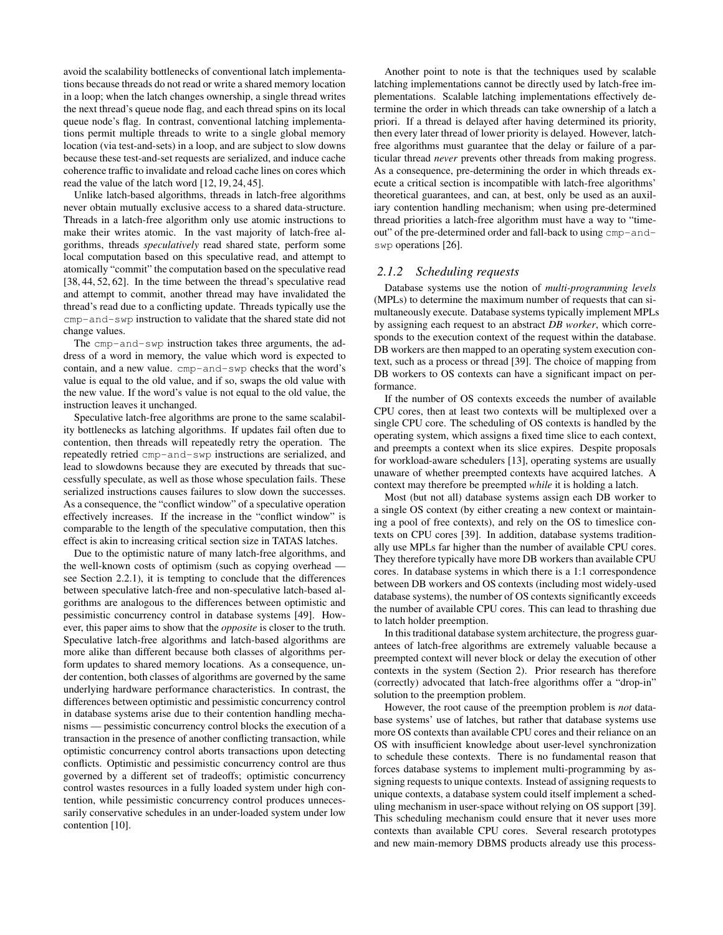avoid the scalability bottlenecks of conventional latch implementations because threads do not read or write a shared memory location in a loop; when the latch changes ownership, a single thread writes the next thread's queue node flag, and each thread spins on its local queue node's flag. In contrast, conventional latching implementations permit multiple threads to write to a single global memory location (via test-and-sets) in a loop, and are subject to slow downs because these test-and-set requests are serialized, and induce cache coherence traffic to invalidate and reload cache lines on cores which read the value of the latch word [\[12,](#page-10-3) [19,](#page-10-4) [24,](#page-11-8) [45\]](#page-11-9).

Unlike latch-based algorithms, threads in latch-free algorithms never obtain mutually exclusive access to a shared data-structure. Threads in a latch-free algorithm only use atomic instructions to make their writes atomic. In the vast majority of latch-free algorithms, threads *speculatively* read shared state, perform some local computation based on this speculative read, and attempt to atomically "commit" the computation based on the speculative read [\[38,](#page-11-12) [44,](#page-11-4) [52,](#page-11-6) [62\]](#page-11-13). In the time between the thread's speculative read and attempt to commit, another thread may have invalidated the thread's read due to a conflicting update. Threads typically use the cmp-and-swp instruction to validate that the shared state did not change values.

The cmp-and-swp instruction takes three arguments, the address of a word in memory, the value which word is expected to contain, and a new value. cmp-and-swp checks that the word's value is equal to the old value, and if so, swaps the old value with the new value. If the word's value is not equal to the old value, the instruction leaves it unchanged.

Speculative latch-free algorithms are prone to the same scalability bottlenecks as latching algorithms. If updates fail often due to contention, then threads will repeatedly retry the operation. The repeatedly retried cmp-and-swp instructions are serialized, and lead to slowdowns because they are executed by threads that successfully speculate, as well as those whose speculation fails. These serialized instructions causes failures to slow down the successes. As a consequence, the "conflict window" of a speculative operation effectively increases. If the increase in the "conflict window" is comparable to the length of the speculative computation, then this effect is akin to increasing critical section size in TATAS latches.

Due to the optimistic nature of many latch-free algorithms, and the well-known costs of optimism (such as copying overhead see Section [2.2.1\)](#page-3-2), it is tempting to conclude that the differences between speculative latch-free and non-speculative latch-based algorithms are analogous to the differences between optimistic and pessimistic concurrency control in database systems [\[49\]](#page-11-14). However, this paper aims to show that the *opposite* is closer to the truth. Speculative latch-free algorithms and latch-based algorithms are more alike than different because both classes of algorithms perform updates to shared memory locations. As a consequence, under contention, both classes of algorithms are governed by the same underlying hardware performance characteristics. In contrast, the differences between optimistic and pessimistic concurrency control in database systems arise due to their contention handling mechanisms — pessimistic concurrency control blocks the execution of a transaction in the presence of another conflicting transaction, while optimistic concurrency control aborts transactions upon detecting conflicts. Optimistic and pessimistic concurrency control are thus governed by a different set of tradeoffs; optimistic concurrency control wastes resources in a fully loaded system under high contention, while pessimistic concurrency control produces unnecessarily conservative schedules in an under-loaded system under low contention [\[10\]](#page-10-6).

Another point to note is that the techniques used by scalable latching implementations cannot be directly used by latch-free implementations. Scalable latching implementations effectively determine the order in which threads can take ownership of a latch a priori. If a thread is delayed after having determined its priority, then every later thread of lower priority is delayed. However, latchfree algorithms must guarantee that the delay or failure of a particular thread *never* prevents other threads from making progress. As a consequence, pre-determining the order in which threads execute a critical section is incompatible with latch-free algorithms' theoretical guarantees, and can, at best, only be used as an auxiliary contention handling mechanism; when using pre-determined thread priorities a latch-free algorithm must have a way to "timeout" of the pre-determined order and fall-back to using cmp-and-swp operations [\[26\]](#page-11-15).

### *2.1.2 Scheduling requests*

Database systems use the notion of *multi-programming levels* (MPLs) to determine the maximum number of requests that can simultaneously execute. Database systems typically implement MPLs by assigning each request to an abstract *DB worker*, which corresponds to the execution context of the request within the database. DB workers are then mapped to an operating system execution context, such as a process or thread [\[39\]](#page-11-16). The choice of mapping from DB workers to OS contexts can have a significant impact on performance.

If the number of OS contexts exceeds the number of available CPU cores, then at least two contexts will be multiplexed over a single CPU core. The scheduling of OS contexts is handled by the operating system, which assigns a fixed time slice to each context, and preempts a context when its slice expires. Despite proposals for workload-aware schedulers [\[13\]](#page-10-7), operating systems are usually unaware of whether preempted contexts have acquired latches. A context may therefore be preempted *while* it is holding a latch.

Most (but not all) database systems assign each DB worker to a single OS context (by either creating a new context or maintaining a pool of free contexts), and rely on the OS to timeslice contexts on CPU cores [\[39\]](#page-11-16). In addition, database systems traditionally use MPLs far higher than the number of available CPU cores. They therefore typically have more DB workers than available CPU cores. In database systems in which there is a 1:1 correspondence between DB workers and OS contexts (including most widely-used database systems), the number of OS contexts significantly exceeds the number of available CPU cores. This can lead to thrashing due to latch holder preemption.

In this traditional database system architecture, the progress guarantees of latch-free algorithms are extremely valuable because a preempted context will never block or delay the execution of other contexts in the system (Section [2\)](#page-0-0). Prior research has therefore (correctly) advocated that latch-free algorithms offer a "drop-in" solution to the preemption problem.

However, the root cause of the preemption problem is *not* database systems' use of latches, but rather that database systems use more OS contexts than available CPU cores and their reliance on an OS with insufficient knowledge about user-level synchronization to schedule these contexts. There is no fundamental reason that forces database systems to implement multi-programming by assigning requests to unique contexts. Instead of assigning requests to unique contexts, a database system could itself implement a scheduling mechanism in user-space without relying on OS support [\[39\]](#page-11-16). This scheduling mechanism could ensure that it never uses more contexts than available CPU cores. Several research prototypes and new main-memory DBMS products already use this process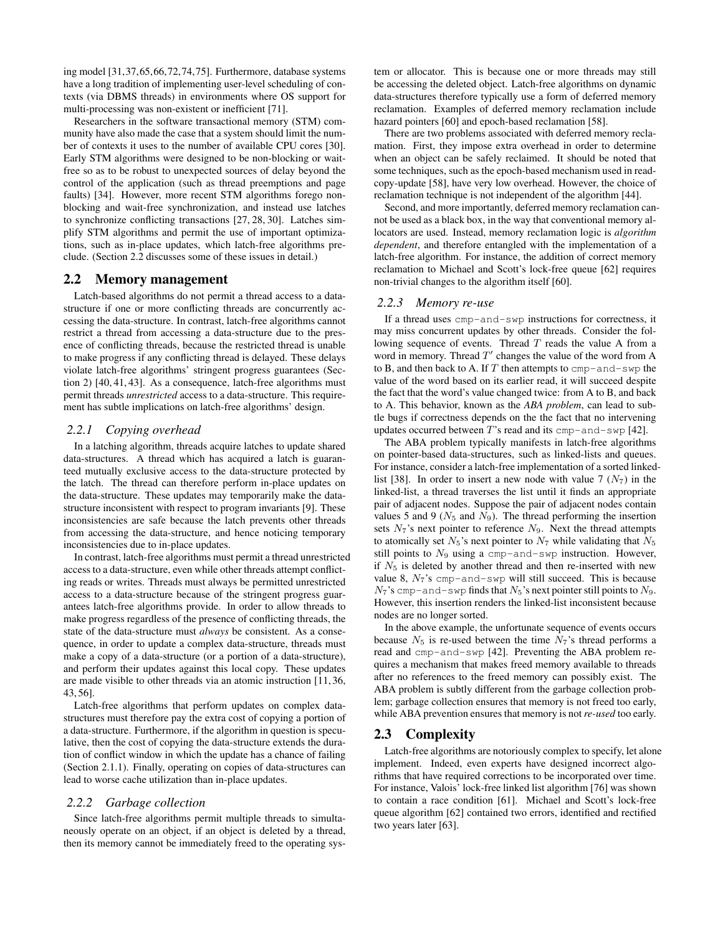ing model [\[31](#page-11-17)[,37,](#page-11-18)[65,](#page-11-19)[66,](#page-11-20)[72,](#page-11-21)[74,](#page-11-22)[75\]](#page-11-23). Furthermore, database systems have a long tradition of implementing user-level scheduling of contexts (via DBMS threads) in environments where OS support for multi-processing was non-existent or inefficient [\[71\]](#page-11-24).

Researchers in the software transactional memory (STM) community have also made the case that a system should limit the number of contexts it uses to the number of available CPU cores [\[30\]](#page-11-25). Early STM algorithms were designed to be non-blocking or waitfree so as to be robust to unexpected sources of delay beyond the control of the application (such as thread preemptions and page faults) [\[34\]](#page-11-26). However, more recent STM algorithms forego nonblocking and wait-free synchronization, and instead use latches to synchronize conflicting transactions [\[27,](#page-11-27) [28,](#page-11-28) [30\]](#page-11-25). Latches simplify STM algorithms and permit the use of important optimizations, such as in-place updates, which latch-free algorithms preclude. (Section [2.2](#page-3-0) discusses some of these issues in detail.)

### <span id="page-3-0"></span>2.2 Memory management

Latch-based algorithms do not permit a thread access to a datastructure if one or more conflicting threads are concurrently accessing the data-structure. In contrast, latch-free algorithms cannot restrict a thread from accessing a data-structure due to the presence of conflicting threads, because the restricted thread is unable to make progress if any conflicting thread is delayed. These delays violate latch-free algorithms' stringent progress guarantees (Section [2\)](#page-0-0) [\[40,](#page-11-0) [41,](#page-11-1) [43\]](#page-11-2). As a consequence, latch-free algorithms must permit threads *unrestricted* access to a data-structure. This requirement has subtle implications on latch-free algorithms' design.

#### <span id="page-3-2"></span>*2.2.1 Copying overhead*

In a latching algorithm, threads acquire latches to update shared data-structures. A thread which has acquired a latch is guaranteed mutually exclusive access to the data-structure protected by the latch. The thread can therefore perform in-place updates on the data-structure. These updates may temporarily make the datastructure inconsistent with respect to program invariants [\[9\]](#page-10-8). These inconsistencies are safe because the latch prevents other threads from accessing the data-structure, and hence noticing temporary inconsistencies due to in-place updates.

In contrast, latch-free algorithms must permit a thread unrestricted access to a data-structure, even while other threads attempt conflicting reads or writes. Threads must always be permitted unrestricted access to a data-structure because of the stringent progress guarantees latch-free algorithms provide. In order to allow threads to make progress regardless of the presence of conflicting threads, the state of the data-structure must *always* be consistent. As a consequence, in order to update a complex data-structure, threads must make a copy of a data-structure (or a portion of a data-structure), and perform their updates against this local copy. These updates are made visible to other threads via an atomic instruction [\[11,](#page-10-9) [36,](#page-11-29) [43,](#page-11-2) [56\]](#page-11-30).

Latch-free algorithms that perform updates on complex datastructures must therefore pay the extra cost of copying a portion of a data-structure. Furthermore, if the algorithm in question is speculative, then the cost of copying the data-structure extends the duration of conflict window in which the update has a chance of failing (Section [2.1.1\)](#page-1-2). Finally, operating on copies of data-structures can lead to worse cache utilization than in-place updates.

#### *2.2.2 Garbage collection*

Since latch-free algorithms permit multiple threads to simultaneously operate on an object, if an object is deleted by a thread, then its memory cannot be immediately freed to the operating system or allocator. This is because one or more threads may still be accessing the deleted object. Latch-free algorithms on dynamic data-structures therefore typically use a form of deferred memory reclamation. Examples of deferred memory reclamation include hazard pointers [\[60\]](#page-11-31) and epoch-based reclamation [\[58\]](#page-11-32).

There are two problems associated with deferred memory reclamation. First, they impose extra overhead in order to determine when an object can be safely reclaimed. It should be noted that some techniques, such as the epoch-based mechanism used in readcopy-update [\[58\]](#page-11-32), have very low overhead. However, the choice of reclamation technique is not independent of the algorithm [\[44\]](#page-11-4).

Second, and more importantly, deferred memory reclamation cannot be used as a black box, in the way that conventional memory allocators are used. Instead, memory reclamation logic is *algorithm dependent*, and therefore entangled with the implementation of a latch-free algorithm. For instance, the addition of correct memory reclamation to Michael and Scott's lock-free queue [\[62\]](#page-11-13) requires non-trivial changes to the algorithm itself [\[60\]](#page-11-31).

### *2.2.3 Memory re-use*

If a thread uses cmp-and-swp instructions for correctness, it may miss concurrent updates by other threads. Consider the following sequence of events. Thread  $T$  reads the value A from a word in memory. Thread  $T'$  changes the value of the word from A to B, and then back to A. If  $T$  then attempts to  $\text{cmp-and-swp}$  the value of the word based on its earlier read, it will succeed despite the fact that the word's value changed twice: from A to B, and back to A. This behavior, known as the *ABA problem*, can lead to subtle bugs if correctness depends on the the fact that no intervening updates occurred between  $T$ 's read and its cmp-and-swp [\[42\]](#page-11-7).

The ABA problem typically manifests in latch-free algorithms on pointer-based data-structures, such as linked-lists and queues. For instance, consider a latch-free implementation of a sorted linked-list [\[38\]](#page-11-12). In order to insert a new node with value 7  $(N_7)$  in the linked-list, a thread traverses the list until it finds an appropriate pair of adjacent nodes. Suppose the pair of adjacent nodes contain values 5 and 9 ( $N_5$  and  $N_9$ ). The thread performing the insertion sets  $N_7$ 's next pointer to reference  $N_9$ . Next the thread attempts to atomically set  $N_5$ 's next pointer to  $N_7$  while validating that  $N_5$ still points to  $N_9$  using a cmp-and-swp instruction. However, if  $N_5$  is deleted by another thread and then re-inserted with new value 8,  $N_7$ 's cmp-and-swp will still succeed. This is because  $N_7$ 's cmp-and-swp finds that  $N_5$ 's next pointer still points to  $N_9$ . However, this insertion renders the linked-list inconsistent because nodes are no longer sorted.

In the above example, the unfortunate sequence of events occurs because  $N_5$  is re-used between the time  $N_7$ 's thread performs a read and cmp-and-swp [\[42\]](#page-11-7). Preventing the ABA problem requires a mechanism that makes freed memory available to threads after no references to the freed memory can possibly exist. The ABA problem is subtly different from the garbage collection problem; garbage collection ensures that memory is not freed too early, while ABA prevention ensures that memory is not*re-used* too early.

### <span id="page-3-1"></span>2.3 Complexity

Latch-free algorithms are notoriously complex to specify, let alone implement. Indeed, even experts have designed incorrect algorithms that have required corrections to be incorporated over time. For instance, Valois' lock-free linked list algorithm [\[76\]](#page-11-33) was shown to contain a race condition [\[61\]](#page-11-34). Michael and Scott's lock-free queue algorithm [\[62\]](#page-11-13) contained two errors, identified and rectified two years later [\[63\]](#page-11-35).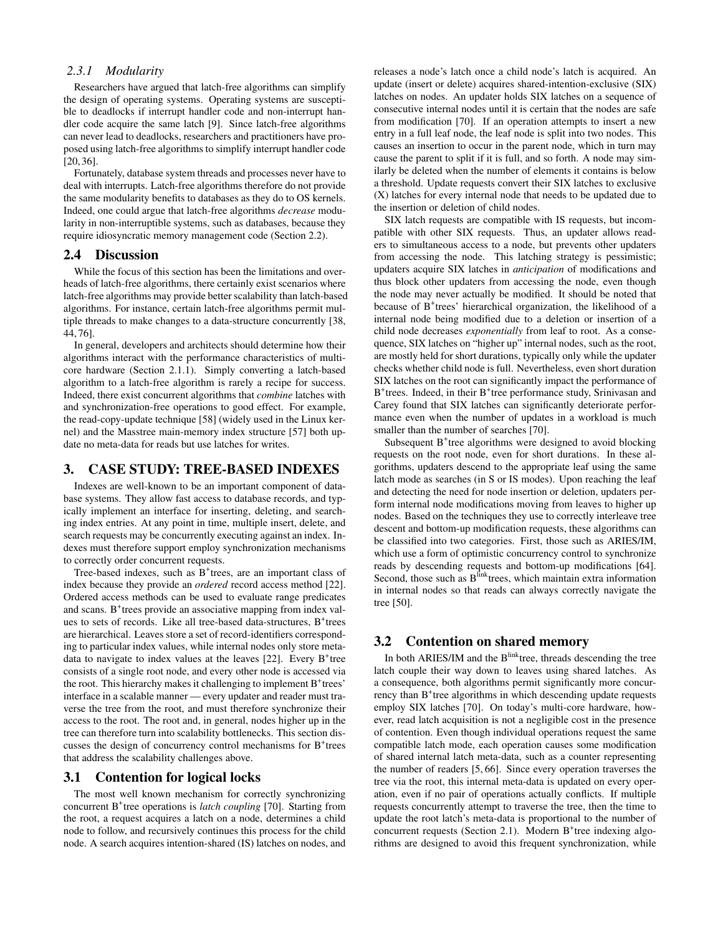### *2.3.1 Modularity*

Researchers have argued that latch-free algorithms can simplify the design of operating systems. Operating systems are susceptible to deadlocks if interrupt handler code and non-interrupt handler code acquire the same latch [\[9\]](#page-10-8). Since latch-free algorithms can never lead to deadlocks, researchers and practitioners have proposed using latch-free algorithms to simplify interrupt handler code [\[20,](#page-10-10) [36\]](#page-11-29).

Fortunately, database system threads and processes never have to deal with interrupts. Latch-free algorithms therefore do not provide the same modularity benefits to databases as they do to OS kernels. Indeed, one could argue that latch-free algorithms *decrease* modularity in non-interruptible systems, such as databases, because they require idiosyncratic memory management code (Section [2.2\)](#page-3-0).

### 2.4 Discussion

While the focus of this section has been the limitations and overheads of latch-free algorithms, there certainly exist scenarios where latch-free algorithms may provide better scalability than latch-based algorithms. For instance, certain latch-free algorithms permit multiple threads to make changes to a data-structure concurrently [\[38,](#page-11-12) [44,](#page-11-4) [76\]](#page-11-33).

In general, developers and architects should determine how their algorithms interact with the performance characteristics of multicore hardware (Section [2.1.1\)](#page-1-2). Simply converting a latch-based algorithm to a latch-free algorithm is rarely a recipe for success. Indeed, there exist concurrent algorithms that *combine* latches with and synchronization-free operations to good effect. For example, the read-copy-update technique [\[58\]](#page-11-32) (widely used in the Linux kernel) and the Masstree main-memory index structure [\[57\]](#page-11-36) both update no meta-data for reads but use latches for writes.

# 3. CASE STUDY: TREE-BASED INDEXES

Indexes are well-known to be an important component of database systems. They allow fast access to database records, and typically implement an interface for inserting, deleting, and searching index entries. At any point in time, multiple insert, delete, and search requests may be concurrently executing against an index. Indexes must therefore support employ synchronization mechanisms to correctly order concurrent requests.

Tree-based indexes, such as B<sup>+</sup>trees, are an important class of index because they provide an *ordered* record access method [\[22\]](#page-10-11). Ordered access methods can be used to evaluate range predicates and scans. B<sup>+</sup>trees provide an associative mapping from index values to sets of records. Like all tree-based data-structures, B+trees are hierarchical. Leaves store a set of record-identifiers corresponding to particular index values, while internal nodes only store metadata to navigate to index values at the leaves  $[22]$ . Every B<sup>+</sup>tree consists of a single root node, and every other node is accessed via the root. This hierarchy makes it challenging to implement B<sup>+</sup>trees' interface in a scalable manner — every updater and reader must traverse the tree from the root, and must therefore synchronize their access to the root. The root and, in general, nodes higher up in the tree can therefore turn into scalability bottlenecks. This section discusses the design of concurrency control mechanisms for B<sup>+</sup>trees that address the scalability challenges above.

### 3.1 Contention for logical locks

The most well known mechanism for correctly synchronizing concurrent B<sup>+</sup>tree operations is *latch coupling* [\[70\]](#page-11-37). Starting from the root, a request acquires a latch on a node, determines a child node to follow, and recursively continues this process for the child node. A search acquires intention-shared (IS) latches on nodes, and releases a node's latch once a child node's latch is acquired. An update (insert or delete) acquires shared-intention-exclusive (SIX) latches on nodes. An updater holds SIX latches on a sequence of consecutive internal nodes until it is certain that the nodes are safe from modification [\[70\]](#page-11-37). If an operation attempts to insert a new entry in a full leaf node, the leaf node is split into two nodes. This causes an insertion to occur in the parent node, which in turn may cause the parent to split if it is full, and so forth. A node may similarly be deleted when the number of elements it contains is below a threshold. Update requests convert their SIX latches to exclusive (X) latches for every internal node that needs to be updated due to the insertion or deletion of child nodes.

SIX latch requests are compatible with IS requests, but incompatible with other SIX requests. Thus, an updater allows readers to simultaneous access to a node, but prevents other updaters from accessing the node. This latching strategy is pessimistic; updaters acquire SIX latches in *anticipation* of modifications and thus block other updaters from accessing the node, even though the node may never actually be modified. It should be noted that because of B<sup>+</sup>trees' hierarchical organization, the likelihood of a internal node being modified due to a deletion or insertion of a child node decreases *exponentially* from leaf to root. As a consequence, SIX latches on "higher up" internal nodes, such as the root, are mostly held for short durations, typically only while the updater checks whether child node is full. Nevertheless, even short duration SIX latches on the root can significantly impact the performance of B<sup>+</sup>trees. Indeed, in their B<sup>+</sup>tree performance study, Srinivasan and Carey found that SIX latches can significantly deteriorate performance even when the number of updates in a workload is much smaller than the number of searches [\[70\]](#page-11-37).

Subsequent B<sup>+</sup>tree algorithms were designed to avoid blocking requests on the root node, even for short durations. In these algorithms, updaters descend to the appropriate leaf using the same latch mode as searches (in S or IS modes). Upon reaching the leaf and detecting the need for node insertion or deletion, updaters perform internal node modifications moving from leaves to higher up nodes. Based on the techniques they use to correctly interleave tree descent and bottom-up modification requests, these algorithms can be classified into two categories. First, those such as ARIES/IM, which use a form of optimistic concurrency control to synchronize reads by descending requests and bottom-up modifications [64]. Second, those such as B<sup>link</sup> trees, which maintain extra information in internal nodes so that reads can always correctly navigate the tree [\[50\]](#page-11-38).

# <span id="page-4-0"></span>3.2 Contention on shared memory

In both ARIES/IM and the  $B^{\text{link}}$  tree, threads descending the tree latch couple their way down to leaves using shared latches. As a consequence, both algorithms permit significantly more concurrency than B<sup>+</sup>tree algorithms in which descending update requests employ SIX latches [\[70\]](#page-11-37). On today's multi-core hardware, however, read latch acquisition is not a negligible cost in the presence of contention. Even though individual operations request the same compatible latch mode, each operation causes some modification of shared internal latch meta-data, such as a counter representing the number of readers [\[5,](#page-10-12) [66\]](#page-11-20). Since every operation traverses the tree via the root, this internal meta-data is updated on every operation, even if no pair of operations actually conflicts. If multiple requests concurrently attempt to traverse the tree, then the time to update the root latch's meta-data is proportional to the number of concurrent requests (Section [2.1\)](#page-1-0). Modern B<sup>+</sup>tree indexing algorithms are designed to avoid this frequent synchronization, while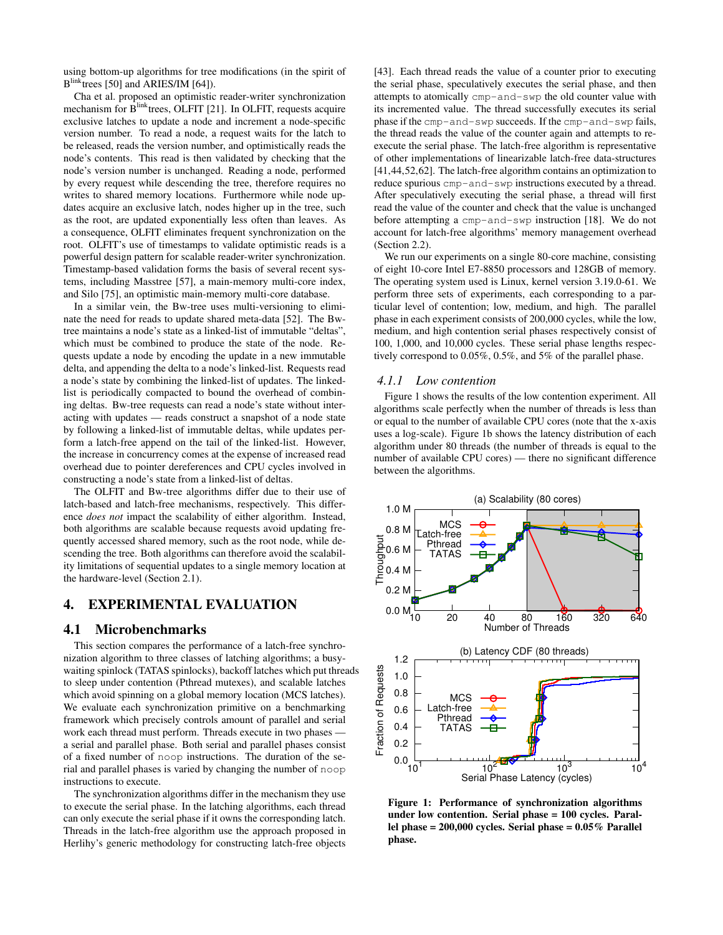using bottom-up algorithms for tree modifications (in the spirit of B<sup>link</sup>trees [\[50\]](#page-11-38) and ARIES/IM [64]).

Cha et al. proposed an optimistic reader-writer synchronization mechanism for B<sup>link</sup>trees, OLFIT [\[21\]](#page-10-13). In OLFIT, requests acquire exclusive latches to update a node and increment a node-specific version number. To read a node, a request waits for the latch to be released, reads the version number, and optimistically reads the node's contents. This read is then validated by checking that the node's version number is unchanged. Reading a node, performed by every request while descending the tree, therefore requires no writes to shared memory locations. Furthermore while node updates acquire an exclusive latch, nodes higher up in the tree, such as the root, are updated exponentially less often than leaves. As a consequence, OLFIT eliminates frequent synchronization on the root. OLFIT's use of timestamps to validate optimistic reads is a powerful design pattern for scalable reader-writer synchronization. Timestamp-based validation forms the basis of several recent systems, including Masstree [\[57\]](#page-11-36), a main-memory multi-core index, and Silo [\[75\]](#page-11-23), an optimistic main-memory multi-core database.

In a similar vein, the Bw-tree uses multi-versioning to eliminate the need for reads to update shared meta-data [\[52\]](#page-11-6). The Bwtree maintains a node's state as a linked-list of immutable "deltas", which must be combined to produce the state of the node. Requests update a node by encoding the update in a new immutable delta, and appending the delta to a node's linked-list. Requests read a node's state by combining the linked-list of updates. The linkedlist is periodically compacted to bound the overhead of combining deltas. Bw-tree requests can read a node's state without interacting with updates — reads construct a snapshot of a node state by following a linked-list of immutable deltas, while updates perform a latch-free append on the tail of the linked-list. However, the increase in concurrency comes at the expense of increased read overhead due to pointer dereferences and CPU cycles involved in constructing a node's state from a linked-list of deltas.

The OLFIT and Bw-tree algorithms differ due to their use of latch-based and latch-free mechanisms, respectively. This difference *does not* impact the scalability of either algorithm. Instead, both algorithms are scalable because requests avoid updating frequently accessed shared memory, such as the root node, while descending the tree. Both algorithms can therefore avoid the scalability limitations of sequential updates to a single memory location at the hardware-level (Section [2.1\)](#page-1-0).

# <span id="page-5-2"></span>4. EXPERIMENTAL EVALUATION

# <span id="page-5-1"></span>4.1 Microbenchmarks

This section compares the performance of a latch-free synchronization algorithm to three classes of latching algorithms; a busywaiting spinlock (TATAS spinlocks), backoff latches which put threads to sleep under contention (Pthread mutexes), and scalable latches which avoid spinning on a global memory location (MCS latches). We evaluate each synchronization primitive on a benchmarking framework which precisely controls amount of parallel and serial work each thread must perform. Threads execute in two phases a serial and parallel phase. Both serial and parallel phases consist of a fixed number of noop instructions. The duration of the serial and parallel phases is varied by changing the number of noop instructions to execute.

The synchronization algorithms differ in the mechanism they use to execute the serial phase. In the latching algorithms, each thread can only execute the serial phase if it owns the corresponding latch. Threads in the latch-free algorithm use the approach proposed in Herlihy's generic methodology for constructing latch-free objects [\[43\]](#page-11-2). Each thread reads the value of a counter prior to executing the serial phase, speculatively executes the serial phase, and then attempts to atomically cmp-and-swp the old counter value with its incremented value. The thread successfully executes its serial phase if the cmp-and-swp succeeds. If the cmp-and-swp fails, the thread reads the value of the counter again and attempts to reexecute the serial phase. The latch-free algorithm is representative of other implementations of linearizable latch-free data-structures [\[41,](#page-11-1)[44](#page-11-4)[,52,](#page-11-6)[62\]](#page-11-13). The latch-free algorithm contains an optimization to reduce spurious cmp-and-swp instructions executed by a thread. After speculatively executing the serial phase, a thread will first read the value of the counter and check that the value is unchanged before attempting a cmp-and-swp instruction [\[18\]](#page-10-14). We do not account for latch-free algorithms' memory management overhead (Section [2.2\)](#page-3-0).

We run our experiments on a single 80-core machine, consisting of eight 10-core Intel E7-8850 processors and 128GB of memory. The operating system used is Linux, kernel version 3.19.0-61. We perform three sets of experiments, each corresponding to a particular level of contention; low, medium, and high. The parallel phase in each experiment consists of 200,000 cycles, while the low, medium, and high contention serial phases respectively consist of 100, 1,000, and 10,000 cycles. These serial phase lengths respectively correspond to 0.05%, 0.5%, and 5% of the parallel phase.

#### *4.1.1 Low contention*

Figure [1](#page-5-0) shows the results of the low contention experiment. All algorithms scale perfectly when the number of threads is less than or equal to the number of available CPU cores (note that the x-axis uses a log-scale). Figure [1b](#page-5-0) shows the latency distribution of each algorithm under 80 threads (the number of threads is equal to the number of available CPU cores) — there no significant difference between the algorithms.

<span id="page-5-0"></span>

Figure 1: Performance of synchronization algorithms under low contention. Serial phase = 100 cycles. Parallel phase =  $200,000$  cycles. Serial phase =  $0.05\%$  Parallel phase.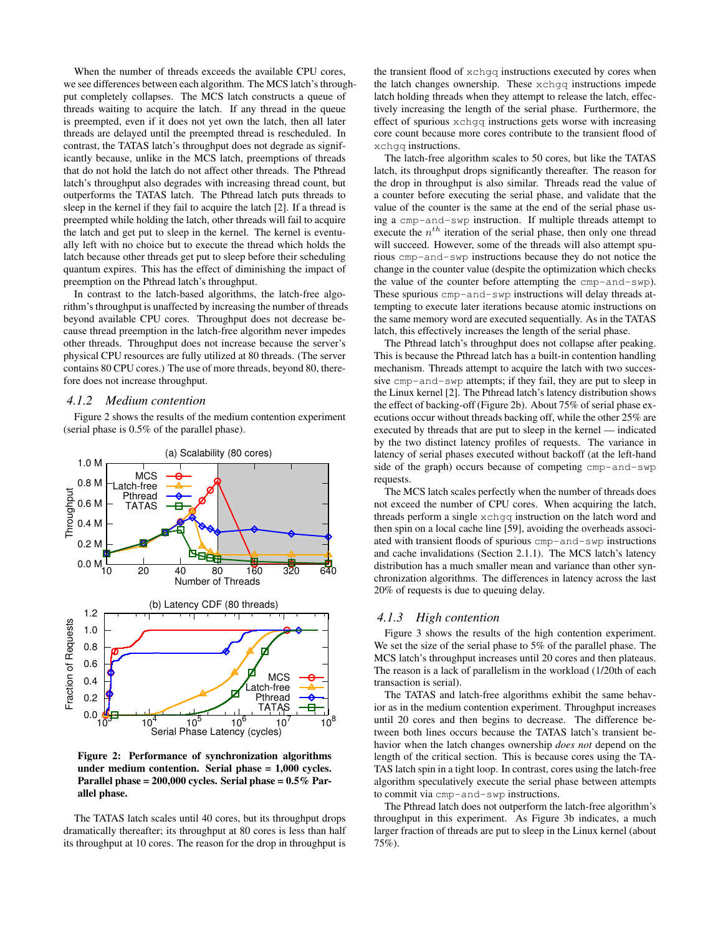When the number of threads exceeds the available CPU cores, we see differences between each algorithm. The MCS latch's throughput completely collapses. The MCS latch constructs a queue of threads waiting to acquire the latch. If any thread in the queue is preempted, even if it does not yet own the latch, then all later threads are delayed until the preempted thread is rescheduled. In contrast, the TATAS latch's throughput does not degrade as significantly because, unlike in the MCS latch, preemptions of threads that do not hold the latch do not affect other threads. The Pthread latch's throughput also degrades with increasing thread count, but outperforms the TATAS latch. The Pthread latch puts threads to sleep in the kernel if they fail to acquire the latch [\[2\]](#page-10-5). If a thread is preempted while holding the latch, other threads will fail to acquire the latch and get put to sleep in the kernel. The kernel is eventually left with no choice but to execute the thread which holds the latch because other threads get put to sleep before their scheduling quantum expires. This has the effect of diminishing the impact of preemption on the Pthread latch's throughput.

In contrast to the latch-based algorithms, the latch-free algorithm's throughput is unaffected by increasing the number of threads beyond available CPU cores. Throughput does not decrease because thread preemption in the latch-free algorithm never impedes other threads. Throughput does not increase because the server's physical CPU resources are fully utilized at 80 threads. (The server contains 80 CPU cores.) The use of more threads, beyond 80, therefore does not increase throughput.

#### *4.1.2 Medium contention*

Figure [2](#page-6-0) shows the results of the medium contention experiment (serial phase is 0.5% of the parallel phase).

<span id="page-6-0"></span>

Figure 2: Performance of synchronization algorithms under medium contention. Serial phase = 1,000 cycles. Parallel phase  $= 200,000$  cycles. Serial phase  $= 0.5\%$  Parallel phase.

The TATAS latch scales until 40 cores, but its throughput drops dramatically thereafter; its throughput at 80 cores is less than half its throughput at 10 cores. The reason for the drop in throughput is the transient flood of xchgq instructions executed by cores when the latch changes ownership. These xchgq instructions impede latch holding threads when they attempt to release the latch, effectively increasing the length of the serial phase. Furthermore, the effect of spurious xchgq instructions gets worse with increasing core count because more cores contribute to the transient flood of xchgq instructions.

The latch-free algorithm scales to 50 cores, but like the TATAS latch, its throughput drops significantly thereafter. The reason for the drop in throughput is also similar. Threads read the value of a counter before executing the serial phase, and validate that the value of the counter is the same at the end of the serial phase using a cmp-and-swp instruction. If multiple threads attempt to execute the  $n^{th}$  iteration of the serial phase, then only one thread will succeed. However, some of the threads will also attempt spurious cmp-and-swp instructions because they do not notice the change in the counter value (despite the optimization which checks the value of the counter before attempting the cmp-and-swp). These spurious cmp-and-swp instructions will delay threads attempting to execute later iterations because atomic instructions on the same memory word are executed sequentially. As in the TATAS latch, this effectively increases the length of the serial phase.

The Pthread latch's throughput does not collapse after peaking. This is because the Pthread latch has a built-in contention handling mechanism. Threads attempt to acquire the latch with two successive cmp-and-swp attempts; if they fail, they are put to sleep in the Linux kernel [\[2\]](#page-10-5). The Pthread latch's latency distribution shows the effect of backing-off (Figure [2b\)](#page-6-0). About 75% of serial phase executions occur without threads backing off, while the other 25% are executed by threads that are put to sleep in the kernel — indicated by the two distinct latency profiles of requests. The variance in latency of serial phases executed without backoff (at the left-hand side of the graph) occurs because of competing cmp-and-swp requests.

The MCS latch scales perfectly when the number of threads does not exceed the number of CPU cores. When acquiring the latch, threads perform a single xchgq instruction on the latch word and then spin on a local cache line [\[59\]](#page-11-11), avoiding the overheads associated with transient floods of spurious cmp-and-swp instructions and cache invalidations (Section [2.1.1\)](#page-1-2). The MCS latch's latency distribution has a much smaller mean and variance than other synchronization algorithms. The differences in latency across the last 20% of requests is due to queuing delay.

### *4.1.3 High contention*

Figure [3](#page-7-0) shows the results of the high contention experiment. We set the size of the serial phase to 5% of the parallel phase. The MCS latch's throughput increases until 20 cores and then plateaus. The reason is a lack of parallelism in the workload (1/20th of each transaction is serial).

The TATAS and latch-free algorithms exhibit the same behavior as in the medium contention experiment. Throughput increases until 20 cores and then begins to decrease. The difference between both lines occurs because the TATAS latch's transient behavior when the latch changes ownership *does not* depend on the length of the critical section. This is because cores using the TA-TAS latch spin in a tight loop. In contrast, cores using the latch-free algorithm speculatively execute the serial phase between attempts to commit via cmp-and-swp instructions.

The Pthread latch does not outperform the latch-free algorithm's throughput in this experiment. As Figure [3b](#page-7-0) indicates, a much larger fraction of threads are put to sleep in the Linux kernel (about 75%).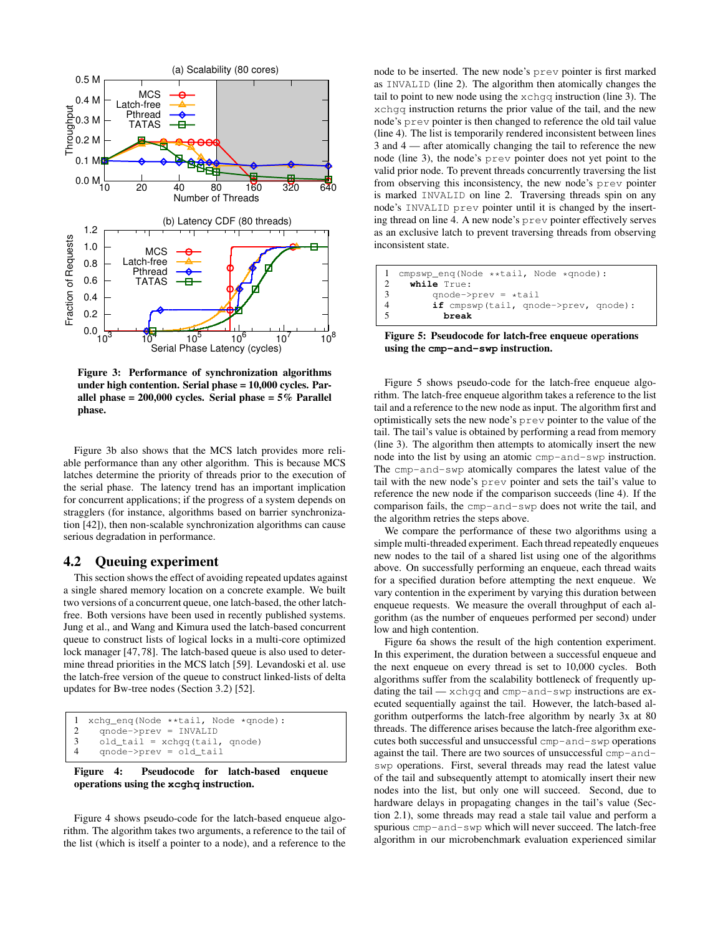<span id="page-7-0"></span>

Figure 3: Performance of synchronization algorithms under high contention. Serial phase = 10,000 cycles. Parallel phase  $= 200,000$  cycles. Serial phase  $= 5\%$  Parallel phase.

Figure [3b](#page-7-0) also shows that the MCS latch provides more reliable performance than any other algorithm. This is because MCS latches determine the priority of threads prior to the execution of the serial phase. The latency trend has an important implication for concurrent applications; if the progress of a system depends on stragglers (for instance, algorithms based on barrier synchronization [\[42\]](#page-11-7)), then non-scalable synchronization algorithms can cause serious degradation in performance.

### 4.2 Queuing experiment

This section shows the effect of avoiding repeated updates against a single shared memory location on a concrete example. We built two versions of a concurrent queue, one latch-based, the other latchfree. Both versions have been used in recently published systems. Jung et al., and Wang and Kimura used the latch-based concurrent queue to construct lists of logical locks in a multi-core optimized lock manager [\[47,](#page-11-39) [78\]](#page-11-40). The latch-based queue is also used to determine thread priorities in the MCS latch [\[59\]](#page-11-11). Levandoski et al. use the latch-free version of the queue to construct linked-lists of delta updates for Bw-tree nodes (Section [3.2\)](#page-4-0) [\[52\]](#page-11-6).

```
1 xchg_{enq} (Node **tail, Node *qnode):<br>2 anode->prev = INVAI.ID2 qnode->prev = INVALID<br>3 old_tail = xchgq(tail
3 old_tail = xchgq(tail, qnode)<br>4 onode->prev = old tail
       4 qnode->prev = old_tail
```
Figure 4: Pseudocode for latch-based enqueue operations using the **xcghq** instruction.

Figure [4](#page-7-1) shows pseudo-code for the latch-based enqueue algorithm. The algorithm takes two arguments, a reference to the tail of the list (which is itself a pointer to a node), and a reference to the

node to be inserted. The new node's prev pointer is first marked as INVALID (line 2). The algorithm then atomically changes the tail to point to new node using the xchgq instruction (line 3). The xchgq instruction returns the prior value of the tail, and the new node's prev pointer is then changed to reference the old tail value (line 4). The list is temporarily rendered inconsistent between lines 3 and 4 — after atomically changing the tail to reference the new node (line 3), the node's prev pointer does not yet point to the valid prior node. To prevent threads concurrently traversing the list from observing this inconsistency, the new node's prev pointer is marked INVALID on line 2. Traversing threads spin on any node's INVALID prev pointer until it is changed by the inserting thread on line 4. A new node's prev pointer effectively serves as an exclusive latch to prevent traversing threads from observing inconsistent state.

<span id="page-7-2"></span>

| -1             | cmpswp_enq(Node **tail, Node *qnode):  |
|----------------|----------------------------------------|
| 2              | while True:                            |
| 3              | qnode->prev = $*tail$                  |
| $\overline{4}$ | if $cmpswp(tail, qnode->prev, qnode):$ |
|                | break                                  |

Figure 5: Pseudocode for latch-free enqueue operations using the **cmp-and-swp** instruction.

Figure [5](#page-7-2) shows pseudo-code for the latch-free enqueue algorithm. The latch-free enqueue algorithm takes a reference to the list tail and a reference to the new node as input. The algorithm first and optimistically sets the new node's prev pointer to the value of the tail. The tail's value is obtained by performing a read from memory (line 3). The algorithm then attempts to atomically insert the new node into the list by using an atomic cmp-and-swp instruction. The cmp-and-swp atomically compares the latest value of the tail with the new node's prev pointer and sets the tail's value to reference the new node if the comparison succeeds (line 4). If the comparison fails, the cmp-and-swp does not write the tail, and the algorithm retries the steps above.

We compare the performance of these two algorithms using a simple multi-threaded experiment. Each thread repeatedly enqueues new nodes to the tail of a shared list using one of the algorithms above. On successfully performing an enqueue, each thread waits for a specified duration before attempting the next enqueue. We vary contention in the experiment by varying this duration between enqueue requests. We measure the overall throughput of each algorithm (as the number of enqueues performed per second) under low and high contention.

Figure [6a](#page-8-0) shows the result of the high contention experiment. In this experiment, the duration between a successful enqueue and the next enqueue on every thread is set to 10,000 cycles. Both algorithms suffer from the scalability bottleneck of frequently updating the tail  $-\infty$ chgq and cmp-and-swp instructions are executed sequentially against the tail. However, the latch-based algorithm outperforms the latch-free algorithm by nearly 3x at 80 threads. The difference arises because the latch-free algorithm executes both successful and unsuccessful cmp-and-swp operations against the tail. There are two sources of unsuccessful cmp-andswp operations. First, several threads may read the latest value of the tail and subsequently attempt to atomically insert their new nodes into the list, but only one will succeed. Second, due to hardware delays in propagating changes in the tail's value (Section [2.1\)](#page-1-0), some threads may read a stale tail value and perform a spurious cmp-and-swp which will never succeed. The latch-free algorithm in our microbenchmark evaluation experienced similar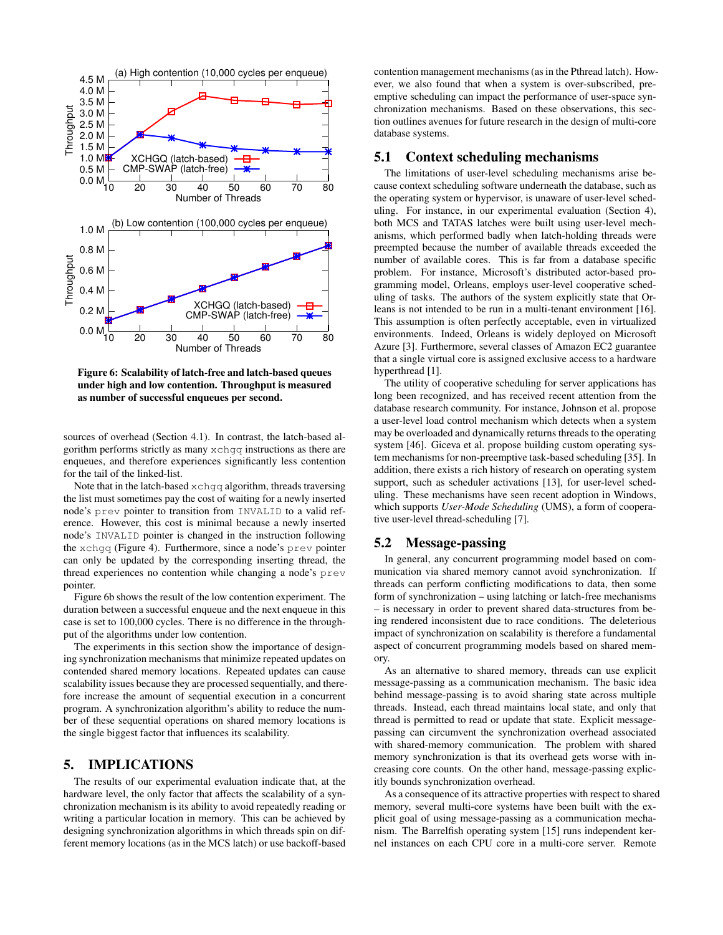<span id="page-8-0"></span>

Figure 6: Scalability of latch-free and latch-based queues under high and low contention. Throughput is measured as number of successful enqueues per second.

sources of overhead (Section [4.1\)](#page-5-1). In contrast, the latch-based algorithm performs strictly as many xchgq instructions as there are enqueues, and therefore experiences significantly less contention for the tail of the linked-list.

Note that in the latch-based xchgq algorithm, threads traversing the list must sometimes pay the cost of waiting for a newly inserted node's prev pointer to transition from INVALID to a valid reference. However, this cost is minimal because a newly inserted node's INVALID pointer is changed in the instruction following the xchgq (Figure [4\)](#page-7-1). Furthermore, since a node's prev pointer can only be updated by the corresponding inserting thread, the thread experiences no contention while changing a node's prev pointer.

Figure [6b](#page-8-0) shows the result of the low contention experiment. The duration between a successful enqueue and the next enqueue in this case is set to 100,000 cycles. There is no difference in the throughput of the algorithms under low contention.

The experiments in this section show the importance of designing synchronization mechanisms that minimize repeated updates on contended shared memory locations. Repeated updates can cause scalability issues because they are processed sequentially, and therefore increase the amount of sequential execution in a concurrent program. A synchronization algorithm's ability to reduce the number of these sequential operations on shared memory locations is the single biggest factor that influences its scalability.

### 5. IMPLICATIONS

The results of our experimental evaluation indicate that, at the hardware level, the only factor that affects the scalability of a synchronization mechanism is its ability to avoid repeatedly reading or writing a particular location in memory. This can be achieved by designing synchronization algorithms in which threads spin on different memory locations (as in the MCS latch) or use backoff-based contention management mechanisms (as in the Pthread latch). However, we also found that when a system is over-subscribed, preemptive scheduling can impact the performance of user-space synchronization mechanisms. Based on these observations, this section outlines avenues for future research in the design of multi-core database systems.

### 5.1 Context scheduling mechanisms

The limitations of user-level scheduling mechanisms arise because context scheduling software underneath the database, such as the operating system or hypervisor, is unaware of user-level scheduling. For instance, in our experimental evaluation (Section [4\)](#page-5-2), both MCS and TATAS latches were built using user-level mechanisms, which performed badly when latch-holding threads were preempted because the number of available threads exceeded the number of available cores. This is far from a database specific problem. For instance, Microsoft's distributed actor-based programming model, Orleans, employs user-level cooperative scheduling of tasks. The authors of the system explicitly state that Orleans is not intended to be run in a multi-tenant environment [\[16\]](#page-10-15). This assumption is often perfectly acceptable, even in virtualized environments. Indeed, Orleans is widely deployed on Microsoft Azure [\[3\]](#page-10-16). Furthermore, several classes of Amazon EC2 guarantee that a single virtual core is assigned exclusive access to a hardware hyperthread [\[1\]](#page-10-17).

The utility of cooperative scheduling for server applications has long been recognized, and has received recent attention from the database research community. For instance, Johnson et al. propose a user-level load control mechanism which detects when a system may be overloaded and dynamically returns threads to the operating system [\[46\]](#page-11-41). Giceva et al. propose building custom operating system mechanisms for non-preemptive task-based scheduling [\[35\]](#page-11-42). In addition, there exists a rich history of research on operating system support, such as scheduler activations [\[13\]](#page-10-7), for user-level scheduling. These mechanisms have seen recent adoption in Windows, which supports *User-Mode Scheduling* (UMS), a form of cooperative user-level thread-scheduling [\[7\]](#page-10-18).

#### 5.2 Message-passing

In general, any concurrent programming model based on communication via shared memory cannot avoid synchronization. If threads can perform conflicting modifications to data, then some form of synchronization – using latching or latch-free mechanisms – is necessary in order to prevent shared data-structures from being rendered inconsistent due to race conditions. The deleterious impact of synchronization on scalability is therefore a fundamental aspect of concurrent programming models based on shared memory.

As an alternative to shared memory, threads can use explicit message-passing as a communication mechanism. The basic idea behind message-passing is to avoid sharing state across multiple threads. Instead, each thread maintains local state, and only that thread is permitted to read or update that state. Explicit messagepassing can circumvent the synchronization overhead associated with shared-memory communication. The problem with shared memory synchronization is that its overhead gets worse with increasing core counts. On the other hand, message-passing explicitly bounds synchronization overhead.

As a consequence of its attractive properties with respect to shared memory, several multi-core systems have been built with the explicit goal of using message-passing as a communication mechanism. The Barrelfish operating system [\[15\]](#page-10-19) runs independent kernel instances on each CPU core in a multi-core server. Remote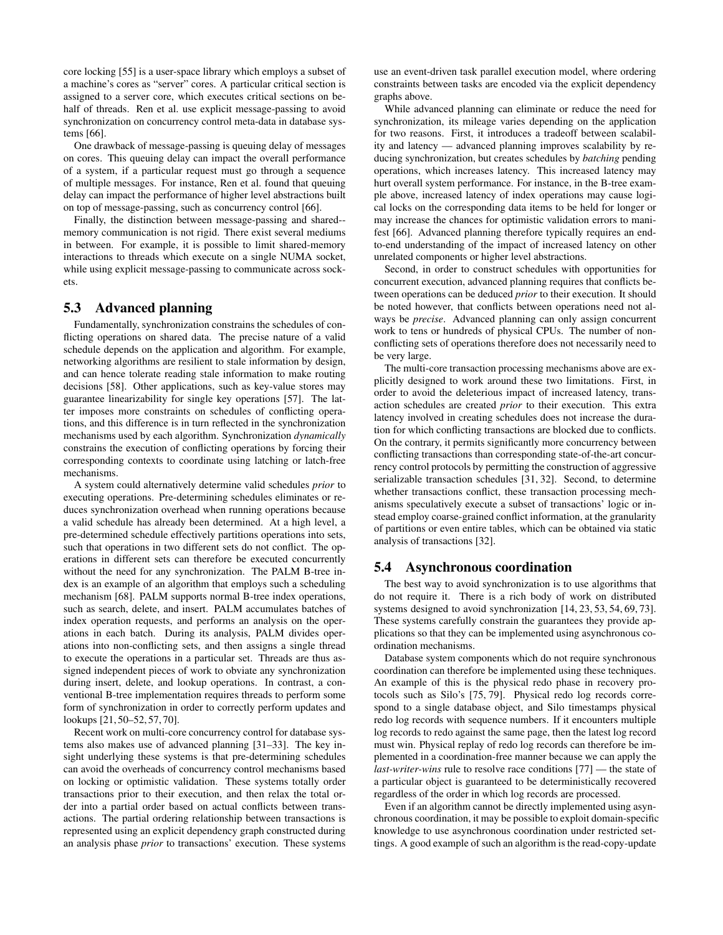core locking [\[55\]](#page-11-43) is a user-space library which employs a subset of a machine's cores as "server" cores. A particular critical section is assigned to a server core, which executes critical sections on behalf of threads. Ren et al. use explicit message-passing to avoid synchronization on concurrency control meta-data in database systems [\[66\]](#page-11-20).

One drawback of message-passing is queuing delay of messages on cores. This queuing delay can impact the overall performance of a system, if a particular request must go through a sequence of multiple messages. For instance, Ren et al. found that queuing delay can impact the performance of higher level abstractions built on top of message-passing, such as concurrency control [\[66\]](#page-11-20).

Finally, the distinction between message-passing and shared- memory communication is not rigid. There exist several mediums in between. For example, it is possible to limit shared-memory interactions to threads which execute on a single NUMA socket, while using explicit message-passing to communicate across sockets.

# 5.3 Advanced planning

Fundamentally, synchronization constrains the schedules of conflicting operations on shared data. The precise nature of a valid schedule depends on the application and algorithm. For example, networking algorithms are resilient to stale information by design, and can hence tolerate reading stale information to make routing decisions [\[58\]](#page-11-32). Other applications, such as key-value stores may guarantee linearizability for single key operations [\[57\]](#page-11-36). The latter imposes more constraints on schedules of conflicting operations, and this difference is in turn reflected in the synchronization mechanisms used by each algorithm. Synchronization *dynamically* constrains the execution of conflicting operations by forcing their corresponding contexts to coordinate using latching or latch-free mechanisms.

A system could alternatively determine valid schedules *prior* to executing operations. Pre-determining schedules eliminates or reduces synchronization overhead when running operations because a valid schedule has already been determined. At a high level, a pre-determined schedule effectively partitions operations into sets, such that operations in two different sets do not conflict. The operations in different sets can therefore be executed concurrently without the need for any synchronization. The PALM B-tree index is an example of an algorithm that employs such a scheduling mechanism [\[68\]](#page-11-44). PALM supports normal B-tree index operations, such as search, delete, and insert. PALM accumulates batches of index operation requests, and performs an analysis on the operations in each batch. During its analysis, PALM divides operations into non-conflicting sets, and then assigns a single thread to execute the operations in a particular set. Threads are thus assigned independent pieces of work to obviate any synchronization during insert, delete, and lookup operations. In contrast, a conventional B-tree implementation requires threads to perform some form of synchronization in order to correctly perform updates and lookups [\[21,](#page-10-13) [50](#page-11-38)[–52,](#page-11-6) [57,](#page-11-36) [70\]](#page-11-37).

Recent work on multi-core concurrency control for database systems also makes use of advanced planning [\[31–](#page-11-17)[33\]](#page-11-45). The key insight underlying these systems is that pre-determining schedules can avoid the overheads of concurrency control mechanisms based on locking or optimistic validation. These systems totally order transactions prior to their execution, and then relax the total order into a partial order based on actual conflicts between transactions. The partial ordering relationship between transactions is represented using an explicit dependency graph constructed during an analysis phase *prior* to transactions' execution. These systems use an event-driven task parallel execution model, where ordering constraints between tasks are encoded via the explicit dependency graphs above.

While advanced planning can eliminate or reduce the need for synchronization, its mileage varies depending on the application for two reasons. First, it introduces a tradeoff between scalability and latency — advanced planning improves scalability by reducing synchronization, but creates schedules by *batching* pending operations, which increases latency. This increased latency may hurt overall system performance. For instance, in the B-tree example above, increased latency of index operations may cause logical locks on the corresponding data items to be held for longer or may increase the chances for optimistic validation errors to manifest [\[66\]](#page-11-20). Advanced planning therefore typically requires an endto-end understanding of the impact of increased latency on other unrelated components or higher level abstractions.

Second, in order to construct schedules with opportunities for concurrent execution, advanced planning requires that conflicts between operations can be deduced *prior* to their execution. It should be noted however, that conflicts between operations need not always be *precise*. Advanced planning can only assign concurrent work to tens or hundreds of physical CPUs. The number of nonconflicting sets of operations therefore does not necessarily need to be very large.

The multi-core transaction processing mechanisms above are explicitly designed to work around these two limitations. First, in order to avoid the deleterious impact of increased latency, transaction schedules are created *prior* to their execution. This extra latency involved in creating schedules does not increase the duration for which conflicting transactions are blocked due to conflicts. On the contrary, it permits significantly more concurrency between conflicting transactions than corresponding state-of-the-art concurrency control protocols by permitting the construction of aggressive serializable transaction schedules [\[31,](#page-11-17) [32\]](#page-11-46). Second, to determine whether transactions conflict, these transaction processing mechanisms speculatively execute a subset of transactions' logic or instead employ coarse-grained conflict information, at the granularity of partitions or even entire tables, which can be obtained via static analysis of transactions [\[32\]](#page-11-46).

# 5.4 Asynchronous coordination

The best way to avoid synchronization is to use algorithms that do not require it. There is a rich body of work on distributed systems designed to avoid synchronization [\[14,](#page-10-20) [23,](#page-10-21) [53,](#page-11-47) [54,](#page-11-48) [69,](#page-11-49) [73\]](#page-11-50). These systems carefully constrain the guarantees they provide applications so that they can be implemented using asynchronous coordination mechanisms.

Database system components which do not require synchronous coordination can therefore be implemented using these techniques. An example of this is the physical redo phase in recovery protocols such as Silo's [\[75,](#page-11-23) [79\]](#page-11-51). Physical redo log records correspond to a single database object, and Silo timestamps physical redo log records with sequence numbers. If it encounters multiple log records to redo against the same page, then the latest log record must win. Physical replay of redo log records can therefore be implemented in a coordination-free manner because we can apply the *last-writer-wins* rule to resolve race conditions [\[77\]](#page-11-52) — the state of a particular object is guaranteed to be deterministically recovered regardless of the order in which log records are processed.

Even if an algorithm cannot be directly implemented using asynchronous coordination, it may be possible to exploit domain-specific knowledge to use asynchronous coordination under restricted settings. A good example of such an algorithm is the read-copy-update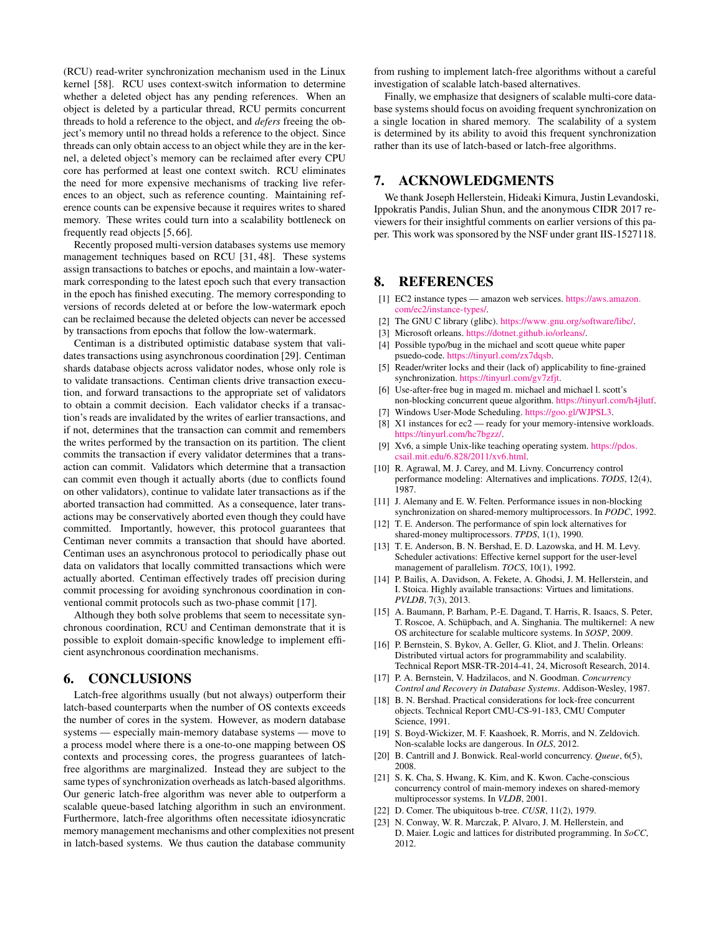(RCU) read-writer synchronization mechanism used in the Linux kernel [\[58\]](#page-11-32). RCU uses context-switch information to determine whether a deleted object has any pending references. When an object is deleted by a particular thread, RCU permits concurrent threads to hold a reference to the object, and *defers* freeing the object's memory until no thread holds a reference to the object. Since threads can only obtain access to an object while they are in the kernel, a deleted object's memory can be reclaimed after every CPU core has performed at least one context switch. RCU eliminates the need for more expensive mechanisms of tracking live references to an object, such as reference counting. Maintaining reference counts can be expensive because it requires writes to shared memory. These writes could turn into a scalability bottleneck on frequently read objects [\[5,](#page-10-12) [66\]](#page-11-20).

Recently proposed multi-version databases systems use memory management techniques based on RCU [\[31,](#page-11-17) [48\]](#page-11-53). These systems assign transactions to batches or epochs, and maintain a low-watermark corresponding to the latest epoch such that every transaction in the epoch has finished executing. The memory corresponding to versions of records deleted at or before the low-watermark epoch can be reclaimed because the deleted objects can never be accessed by transactions from epochs that follow the low-watermark.

Centiman is a distributed optimistic database system that validates transactions using asynchronous coordination [\[29\]](#page-11-54). Centiman shards database objects across validator nodes, whose only role is to validate transactions. Centiman clients drive transaction execution, and forward transactions to the appropriate set of validators to obtain a commit decision. Each validator checks if a transaction's reads are invalidated by the writes of earlier transactions, and if not, determines that the transaction can commit and remembers the writes performed by the transaction on its partition. The client commits the transaction if every validator determines that a transaction can commit. Validators which determine that a transaction can commit even though it actually aborts (due to conflicts found on other validators), continue to validate later transactions as if the aborted transaction had committed. As a consequence, later transactions may be conservatively aborted even though they could have committed. Importantly, however, this protocol guarantees that Centiman never commits a transaction that should have aborted. Centiman uses an asynchronous protocol to periodically phase out data on validators that locally committed transactions which were actually aborted. Centiman effectively trades off precision during commit processing for avoiding synchronous coordination in conventional commit protocols such as two-phase commit [\[17\]](#page-10-22).

Although they both solve problems that seem to necessitate synchronous coordination, RCU and Centiman demonstrate that it is possible to exploit domain-specific knowledge to implement efficient asynchronous coordination mechanisms.

# 6. CONCLUSIONS

Latch-free algorithms usually (but not always) outperform their latch-based counterparts when the number of OS contexts exceeds the number of cores in the system. However, as modern database systems — especially main-memory database systems — move to a process model where there is a one-to-one mapping between OS contexts and processing cores, the progress guarantees of latchfree algorithms are marginalized. Instead they are subject to the same types of synchronization overheads as latch-based algorithms. Our generic latch-free algorithm was never able to outperform a scalable queue-based latching algorithm in such an environment. Furthermore, latch-free algorithms often necessitate idiosyncratic memory management mechanisms and other complexities not present in latch-based systems. We thus caution the database community

from rushing to implement latch-free algorithms without a careful investigation of scalable latch-based alternatives.

Finally, we emphasize that designers of scalable multi-core database systems should focus on avoiding frequent synchronization on a single location in shared memory. The scalability of a system is determined by its ability to avoid this frequent synchronization rather than its use of latch-based or latch-free algorithms.

# 7. ACKNOWLEDGMENTS

We thank Joseph Hellerstein, Hideaki Kimura, Justin Levandoski, Ippokratis Pandis, Julian Shun, and the anonymous CIDR 2017 reviewers for their insightful comments on earlier versions of this paper. This work was sponsored by the NSF under grant IIS-1527118.

# <span id="page-10-17"></span>8. REFERENCES

- EC2 instance types amazon web services. [https://aws](https://aws.amazon.com/ec2/instance-types/).amazon. [com/ec2/instance-types/.](https://aws.amazon.com/ec2/instance-types/)
- <span id="page-10-16"></span><span id="page-10-5"></span>[2] The GNU C library (glibc). https://www.gnu.[org/software/libc/.](https://www.gnu.org/software/libc/)
- <span id="page-10-1"></span>[3] Microsoft orleans. [https://dotnet](https://dotnet.github.io/orleans/).github.io/orleans/.
- [4] Possible typo/bug in the michael and scott queue white paper psuedo-code. https://tinyurl.[com/zx7dqsb.](https://tinyurl.com/zx7dqsb)
- <span id="page-10-12"></span>[5] Reader/writer locks and their (lack of) applicability to fine-grained synchronization. [https://tinyurl](https://tinyurl.com/gv7zfjt).com/gv7zfjt.
- <span id="page-10-2"></span>[6] Use-after-free bug in maged m. michael and michael l. scott's non-blocking concurrent queue algorithm. [https://tinyurl](https://tinyurl.com/h4jlutf).com/h4jlutf.
- <span id="page-10-18"></span><span id="page-10-0"></span>[7] Windows User-Mode Scheduling. https://goo.[gl/WJPSL3.](https://goo.gl/WJPSL3)
- [8] X1 instances for ec2 ready for your memory-intensive workloads. https://tinyurl.[com/hc7bgzz/.](https://tinyurl.com/hc7bgzz/)
- <span id="page-10-8"></span>[9] Xv6, a simple Unix-like teaching operating system. [https://pdos](https://pdos.csail.mit.edu/6.828/2011/xv6.html). csail.mit.edu/6.[828/2011/xv6](https://pdos.csail.mit.edu/6.828/2011/xv6.html).html.
- <span id="page-10-6"></span>[10] R. Agrawal, M. J. Carey, and M. Livny. Concurrency control performance modeling: Alternatives and implications. *TODS*, 12(4), 1987.
- <span id="page-10-9"></span>[11] J. Alemany and E. W. Felten. Performance issues in non-blocking synchronization on shared-memory multiprocessors. In *PODC*, 1992.
- <span id="page-10-3"></span>[12] T. E. Anderson. The performance of spin lock alternatives for shared-money multiprocessors. *TPDS*, 1(1), 1990.
- <span id="page-10-7"></span>[13] T. E. Anderson, B. N. Bershad, E. D. Lazowska, and H. M. Levy. Scheduler activations: Effective kernel support for the user-level management of parallelism. *TOCS*, 10(1), 1992.
- <span id="page-10-20"></span>[14] P. Bailis, A. Davidson, A. Fekete, A. Ghodsi, J. M. Hellerstein, and I. Stoica. Highly available transactions: Virtues and limitations. *PVLDB*, 7(3), 2013.
- <span id="page-10-19"></span>[15] A. Baumann, P. Barham, P.-E. Dagand, T. Harris, R. Isaacs, S. Peter, T. Roscoe, A. Schüpbach, and A. Singhania. The multikernel: A new OS architecture for scalable multicore systems. In *SOSP*, 2009.
- <span id="page-10-15"></span>[16] P. Bernstein, S. Bykov, A. Geller, G. Kliot, and J. Thelin. Orleans: Distributed virtual actors for programmability and scalability. Technical Report MSR-TR-2014-41, 24, Microsoft Research, 2014.
- <span id="page-10-22"></span>[17] P. A. Bernstein, V. Hadzilacos, and N. Goodman. *Concurrency Control and Recovery in Database Systems*. Addison-Wesley, 1987.
- <span id="page-10-14"></span>[18] B. N. Bershad. Practical considerations for lock-free concurrent objects. Technical Report CMU-CS-91-183, CMU Computer Science, 1991.
- <span id="page-10-4"></span>[19] S. Boyd-Wickizer, M. F. Kaashoek, R. Morris, and N. Zeldovich. Non-scalable locks are dangerous. In *OLS*, 2012.
- <span id="page-10-10"></span>[20] B. Cantrill and J. Bonwick. Real-world concurrency. *Queue*, 6(5), 2008.
- <span id="page-10-13"></span>[21] S. K. Cha, S. Hwang, K. Kim, and K. Kwon. Cache-conscious concurrency control of main-memory indexes on shared-memory multiprocessor systems. In *VLDB*, 2001.
- <span id="page-10-21"></span><span id="page-10-11"></span>[22] D. Comer. The ubiquitous b-tree. *CUSR*, 11(2), 1979.
- [23] N. Conway, W. R. Marczak, P. Alvaro, J. M. Hellerstein, and D. Maier. Logic and lattices for distributed programming. In *SoCC*, 2012.